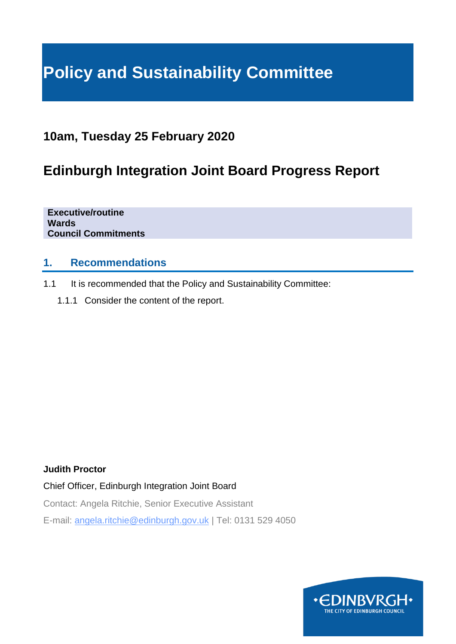# **Policy and Sustainability Committee**

# **10am, Tuesday 25 February 2020**

# **Edinburgh Integration Joint Board Progress Report**

**Executive/routine Wards Council Commitments**

### **1. Recommendations**

- 1.1 It is recommended that the Policy and Sustainability Committee:
	- 1.1.1 Consider the content of the report.

#### **Judith Proctor**

Chief Officer, Edinburgh Integration Joint Board

Contact: Angela Ritchie, Senior Executive Assistant

E-mail: angela.ritchie@edinburgh.gov.uk | Tel: 0131 529 4050

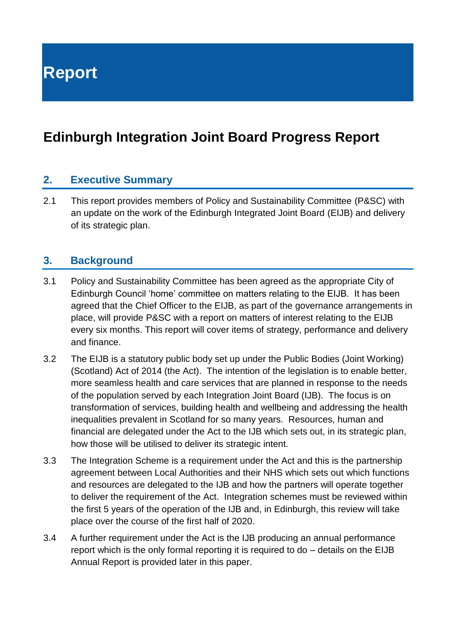**Report**

# **Edinburgh Integration Joint Board Progress Report**

#### **2. Executive Summary**

2.1 This report provides members of Policy and Sustainability Committee (P&SC) with an update on the work of the Edinburgh Integrated Joint Board (EIJB) and delivery of its strategic plan.

#### **3. Background**

- 3.1 Policy and Sustainability Committee has been agreed as the appropriate City of Edinburgh Council 'home' committee on matters relating to the EIJB. It has been agreed that the Chief Officer to the EIJB, as part of the governance arrangements in place, will provide P&SC with a report on matters of interest relating to the EIJB every six months. This report will cover items of strategy, performance and delivery and finance.
- 3.2 The EIJB is a statutory public body set up under the Public Bodies (Joint Working) (Scotland) Act of 2014 (the Act). The intention of the legislation is to enable better, more seamless health and care services that are planned in response to the needs of the population served by each Integration Joint Board (IJB). The focus is on transformation of services, building health and wellbeing and addressing the health inequalities prevalent in Scotland for so many years. Resources, human and financial are delegated under the Act to the IJB which sets out, in its strategic plan, how those will be utilised to deliver its strategic intent.
- 3.3 The Integration Scheme is a requirement under the Act and this is the partnership agreement between Local Authorities and their NHS which sets out which functions and resources are delegated to the IJB and how the partners will operate together to deliver the requirement of the Act. Integration schemes must be reviewed within the first 5 years of the operation of the IJB and, in Edinburgh, this review will take place over the course of the first half of 2020.
- 3.4 A further requirement under the Act is the IJB producing an annual performance report which is the only formal reporting it is required to do – details on the EIJB Annual Report is provided later in this paper.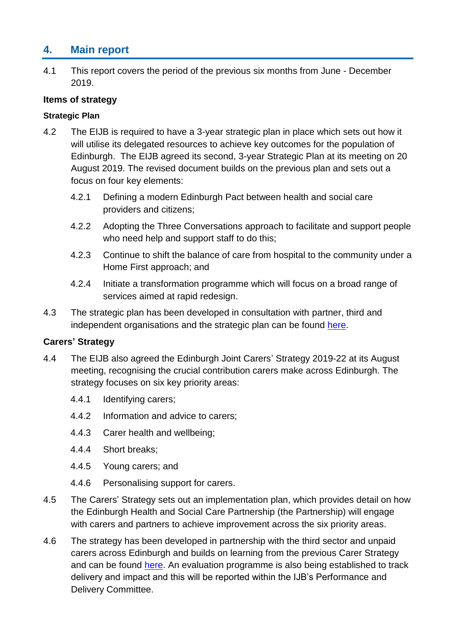## **4. Main report**

4.1 This report covers the period of the previous six months from June - December 2019.

#### **Items of strategy**

#### **Strategic Plan**

- 4.2 The EIJB is required to have a 3-year strategic plan in place which sets out how it will utilise its delegated resources to achieve key outcomes for the population of Edinburgh. The EIJB agreed its second, 3-year Strategic Plan at its meeting on 20 August 2019. The revised document builds on the previous plan and sets out a focus on four key elements:
	- 4.2.1 Defining a modern Edinburgh Pact between health and social care providers and citizens;
	- 4.2.2 Adopting the Three Conversations approach to facilitate and support people who need help and support staff to do this;
	- 4.2.3 Continue to shift the balance of care from hospital to the community under a Home First approach; and
	- 4.2.4 Initiate a transformation programme which will focus on a broad range of services aimed at rapid redesign.
- 4.3 The strategic plan has been developed in consultation with partner, third and independent organisations and the strategic plan can be found [here.](https://democracy.edinburgh.gov.uk/documents/s4851/Combined%20Strategic%20Plan.pdf)

#### **Carers' Strategy**

- 4.4 The EIJB also agreed the Edinburgh Joint Carers' Strategy 2019-22 at its August meeting, recognising the crucial contribution carers make across Edinburgh. The strategy focuses on six key priority areas:
	- 4.4.1 Identifying carers;
	- 4.4.2 Information and advice to carers;
	- 4.4.3 Carer health and wellbeing;
	- 4.4.4 Short breaks;
	- 4.4.5 Young carers; and
	- 4.4.6 Personalising support for carers.
- 4.5 The Carers' Strategy sets out an implementation plan, which provides detail on how the Edinburgh Health and Social Care Partnership (the Partnership) will engage with carers and partners to achieve improvement across the six priority areas.
- 4.6 The strategy has been developed in partnership with the third sector and unpaid carers across Edinburgh and builds on learning from the previous Carer Strategy and can be found [here.](https://democracy.edinburgh.gov.uk/documents/s4870/Combined%20Carers%20Strategy.pdf) An evaluation programme is also being established to track delivery and impact and this will be reported within the IJB's Performance and Delivery Committee.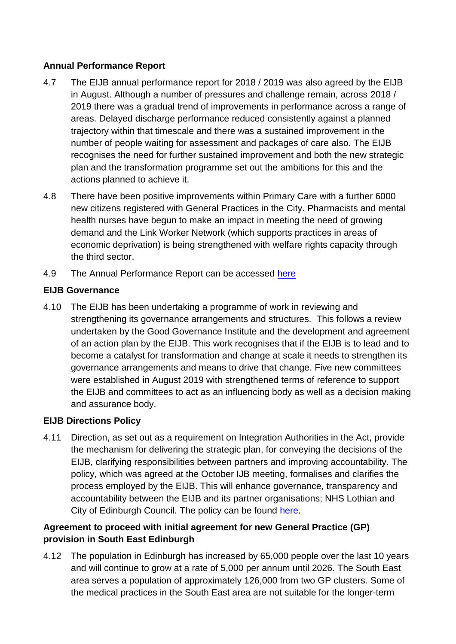#### **Annual Performance Report**

- 4.7 The EIJB annual performance report for 2018 / 2019 was also agreed by the EIJB in August. Although a number of pressures and challenge remain, across 2018 / 2019 there was a gradual trend of improvements in performance across a range of areas. Delayed discharge performance reduced consistently against a planned trajectory within that timescale and there was a sustained improvement in the number of people waiting for assessment and packages of care also. The EIJB recognises the need for further sustained improvement and both the new strategic plan and the transformation programme set out the ambitions for this and the actions planned to achieve it.
- 4.8 There have been positive improvements within Primary Care with a further 6000 new citizens registered with General Practices in the City. Pharmacists and mental health nurses have begun to make an impact in meeting the need of growing demand and the Link Worker Network (which supports practices in areas of economic deprivation) is being strengthened with welfare rights capacity through the third sector.
- 4.9 The Annual Performance Report can be accessed [here](https://www.edinburghhsc.scot/wp-content/uploads/2019/11/EIJB-Annual-Performance-Report-18-19-1.pdf)

#### **EIJB Governance**

4.10 The EIJB has been undertaking a programme of work in reviewing and strengthening its governance arrangements and structures. This follows a review undertaken by the Good Governance Institute and the development and agreement of an action plan by the EIJB. This work recognises that if the EIJB is to lead and to become a catalyst for transformation and change at scale it needs to strengthen its governance arrangements and means to drive that change. Five new committees were established in August 2019 with strengthened terms of reference to support the EIJB and committees to act as an influencing body as well as a decision making and assurance body.

#### **EIJB Directions Policy**

4.11 Direction, as set out as a requirement on Integration Authorities in the Act, provide the mechanism for delivering the strategic plan, for conveying the decisions of the EIJB, clarifying responsibilities between partners and improving accountability. The policy, which was agreed at the October IJB meeting, formalises and clarifies the process employed by the EIJB. This will enhance governance, transparency and accountability between the EIJB and its partner organisations; NHS Lothian and City of Edinburgh Council. The policy can be found [here.](https://democracy.edinburgh.gov.uk/documents/s4869/Directions%20Policy%20Combined.pdf)

#### **Agreement to proceed with initial agreement for new General Practice (GP) provision in South East Edinburgh**

4.12 The population in Edinburgh has increased by 65,000 people over the last 10 years and will continue to grow at a rate of 5,000 per annum until 2026. The South East area serves a population of approximately 126,000 from two GP clusters. Some of the medical practices in the South East area are not suitable for the longer-term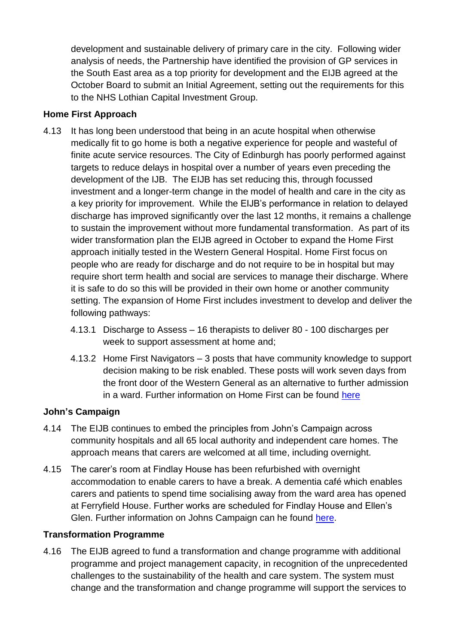development and sustainable delivery of primary care in the city. Following wider analysis of needs, the Partnership have identified the provision of GP services in the South East area as a top priority for development and the EIJB agreed at the October Board to submit an Initial Agreement, setting out the requirements for this to the NHS Lothian Capital Investment Group.

#### **Home First Approach**

- 4.13 It has long been understood that being in an acute hospital when otherwise medically fit to go home is both a negative experience for people and wasteful of finite acute service resources. The City of Edinburgh has poorly performed against targets to reduce delays in hospital over a number of years even preceding the development of the IJB. The EIJB has set reducing this, through focussed investment and a longer-term change in the model of health and care in the city as a key priority for improvement. While the EIJB's performance in relation to delayed discharge has improved significantly over the last 12 months, it remains a challenge to sustain the improvement without more fundamental transformation. As part of its wider transformation plan the EIJB agreed in October to expand the Home First approach initially tested in the Western General Hospital. Home First focus on people who are ready for discharge and do not require to be in hospital but may require short term health and social are services to manage their discharge. Where it is safe to do so this will be provided in their own home or another community setting. The expansion of Home First includes investment to develop and deliver the following pathways:
	- 4.13.1 Discharge to Assess 16 therapists to deliver 80 100 discharges per week to support assessment at home and;
	- 4.13.2 Home First Navigators 3 posts that have community knowledge to support decision making to be risk enabled. These posts will work seven days from the front door of the Western General as an alternative to further admission in a ward. Further information on Home First can be found [here](https://democracy.edinburgh.gov.uk/documents/s9730/Home%20First%20-%20Combined.pdf)

#### **John's Campaign**

- 4.14 The EIJB continues to embed the principles from John's Campaign across community hospitals and all 65 local authority and independent care homes. The approach means that carers are welcomed at all time, including overnight.
- 4.15 The carer's room at Findlay House has been refurbished with overnight accommodation to enable carers to have a break. A dementia café which enables carers and patients to spend time socialising away from the ward area has opened at Ferryfield House. Further works are scheduled for Findlay House and Ellen's Glen. Further information on Johns Campaign can he found [here.](https://democracy.edinburgh.gov.uk/documents/s9695/EIJB%20report%2029%2009%202019%20Johns%20Campaign%20V.01.pdf)

#### **Transformation Programme**

4.16 The EIJB agreed to fund a transformation and change programme with additional programme and project management capacity, in recognition of the unprecedented challenges to the sustainability of the health and care system. The system must change and the transformation and change programme will support the services to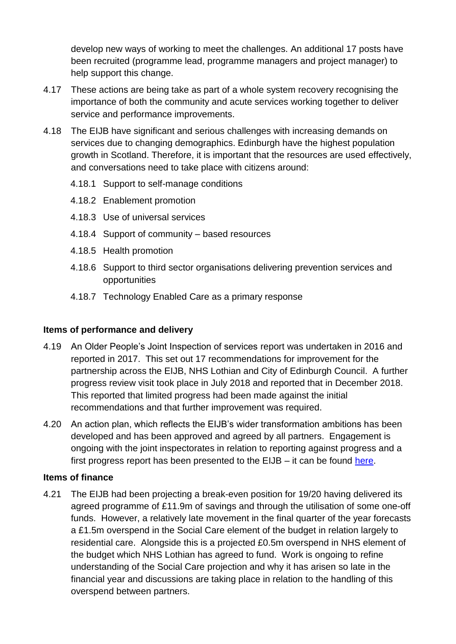develop new ways of working to meet the challenges. An additional 17 posts have been recruited (programme lead, programme managers and project manager) to help support this change.

- 4.17 These actions are being take as part of a whole system recovery recognising the importance of both the community and acute services working together to deliver service and performance improvements.
- 4.18 The EIJB have significant and serious challenges with increasing demands on services due to changing demographics. Edinburgh have the highest population growth in Scotland. Therefore, it is important that the resources are used effectively, and conversations need to take place with citizens around:
	- 4.18.1 Support to self-manage conditions
	- 4.18.2 Enablement promotion
	- 4.18.3 Use of universal services
	- 4.18.4 Support of community based resources
	- 4.18.5 Health promotion
	- 4.18.6 Support to third sector organisations delivering prevention services and opportunities
	- 4.18.7 Technology Enabled Care as a primary response

#### **Items of performance and delivery**

- 4.19 An Older People's Joint Inspection of services report was undertaken in 2016 and reported in 2017. This set out 17 recommendations for improvement for the partnership across the EIJB, NHS Lothian and City of Edinburgh Council. A further progress review visit took place in July 2018 and reported that in December 2018. This reported that limited progress had been made against the initial recommendations and that further improvement was required.
- 4.20 An action plan, which reflects the EIJB's wider transformation ambitions has been developed and has been approved and agreed by all partners. Engagement is ongoing with the joint inspectorates in relation to reporting against progress and a first progress report has been presented to the EIJB – it can be found [here.](https://democracy.edinburgh.gov.uk/documents/s11653/Item%208.2%20-%20Older%20Peoples%20Inspection%20combined.pdf)

#### **Items of finance**

4.21 The EIJB had been projecting a break-even position for 19/20 having delivered its agreed programme of £11.9m of savings and through the utilisation of some one-off funds. However, a relatively late movement in the final quarter of the year forecasts a £1.5m overspend in the Social Care element of the budget in relation largely to residential care. Alongside this is a projected £0.5m overspend in NHS element of the budget which NHS Lothian has agreed to fund. Work is ongoing to refine understanding of the Social Care projection and why it has arisen so late in the financial year and discussions are taking place in relation to the handling of this overspend between partners.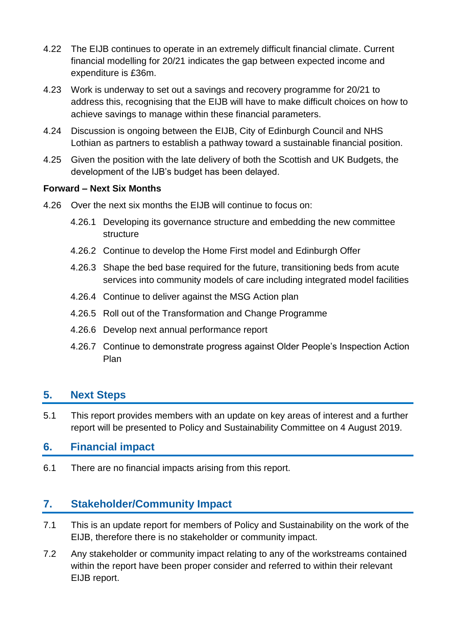- 4.22 The EIJB continues to operate in an extremely difficult financial climate. Current financial modelling for 20/21 indicates the gap between expected income and expenditure is £36m.
- 4.23 Work is underway to set out a savings and recovery programme for 20/21 to address this, recognising that the EIJB will have to make difficult choices on how to achieve savings to manage within these financial parameters.
- 4.24 Discussion is ongoing between the EIJB, City of Edinburgh Council and NHS Lothian as partners to establish a pathway toward a sustainable financial position.
- 4.25 Given the position with the late delivery of both the Scottish and UK Budgets, the development of the IJB's budget has been delayed.

#### **Forward – Next Six Months**

- 4.26 Over the next six months the EIJB will continue to focus on:
	- 4.26.1 Developing its governance structure and embedding the new committee structure
	- 4.26.2 Continue to develop the Home First model and Edinburgh Offer
	- 4.26.3 Shape the bed base required for the future, transitioning beds from acute services into community models of care including integrated model facilities
	- 4.26.4 Continue to deliver against the MSG Action plan
	- 4.26.5 Roll out of the Transformation and Change Programme
	- 4.26.6 Develop next annual performance report
	- 4.26.7 Continue to demonstrate progress against Older People's Inspection Action Plan

### **5. Next Steps**

5.1 This report provides members with an update on key areas of interest and a further report will be presented to Policy and Sustainability Committee on 4 August 2019.

#### **6. Financial impact**

6.1 There are no financial impacts arising from this report.

### **7. Stakeholder/Community Impact**

- 7.1 This is an update report for members of Policy and Sustainability on the work of the EIJB, therefore there is no stakeholder or community impact.
- 7.2 Any stakeholder or community impact relating to any of the workstreams contained within the report have been proper consider and referred to within their relevant EIJB report.